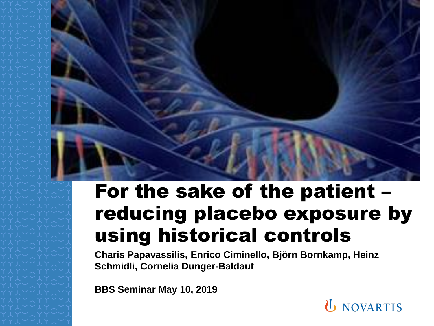

#### For the sake of the patient – reducing placebo exposure by using historical controls

**Charis Papavassilis, Enrico Ciminello, Björn Bornkamp, Heinz Schmidli, Cornelia Dunger-Baldauf**

**BBS Seminar May 10, 2019**

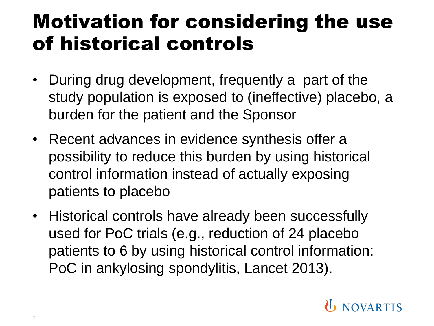### Motivation for considering the use of historical controls

- During drug development, frequently a part of the study population is exposed to (ineffective) placebo, a burden for the patient and the Sponsor
- Recent advances in evidence synthesis offer a possibility to reduce this burden by using historical control information instead of actually exposing patients to placebo
- Historical controls have already been successfully used for PoC trials (e.g., reduction of 24 placebo patients to 6 by using historical control information: PoC in ankylosing spondylitis, Lancet 2013).

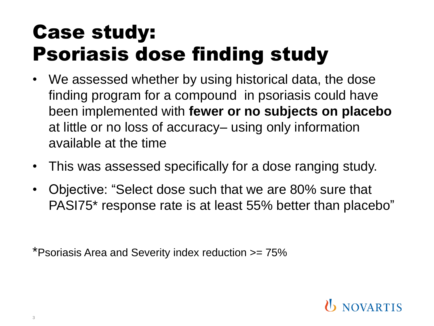## Case study: Psoriasis dose finding study

- We assessed whether by using historical data, the dose finding program for a compound in psoriasis could have been implemented with **fewer or no subjects on placebo** at little or no loss of accuracy– using only information available at the time
- This was assessed specifically for a dose ranging study.
- Objective: "Select dose such that we are 80% sure that PASI75\* response rate is at least 55% better than placebo"

\*Psoriasis Area and Severity index reduction >= 75%

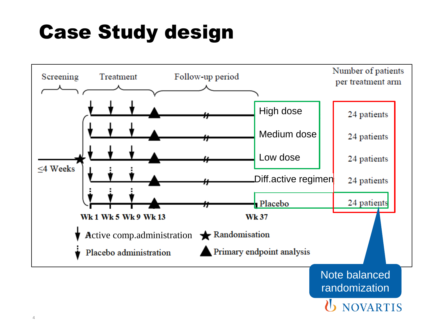# Case Study design



randomization

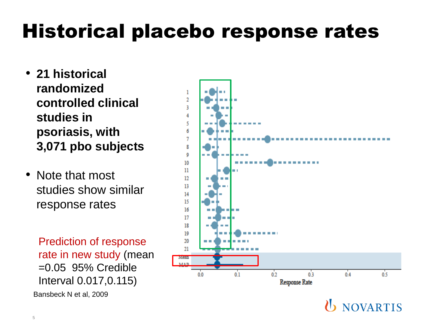# Historical placebo response rates

- **21 historical randomized controlled clinical studies in psoriasis, with 3,071 pbo subjects**
- Note that most studies show similar response rates

Prediction of response rate in new study (mean =0.05 95% Credible Interval 0.017,0.115) Bansbeck N et al, 2009

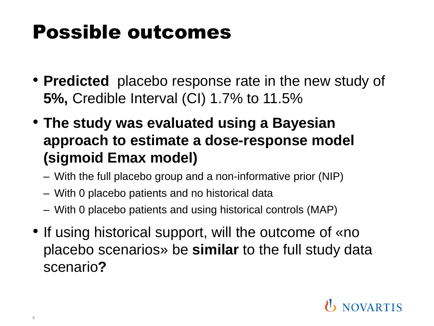## Possible outcomes

- **Predicted** placebo response rate in the new study of **5%,** Credible Interval (CI) 1.7% to 11.5%
- **The study was evaluated using a Bayesian approach to estimate a dose-response model (sigmoid Emax model)**
	- With the full placebo group and a non-informative prior (NIP)
	- With 0 placebo patients and no historical data
	- With 0 placebo patients and using historical controls (MAP)
- If using historical support, will the outcome of «no placebo scenarios» be **similar** to the full study data scenario**?**

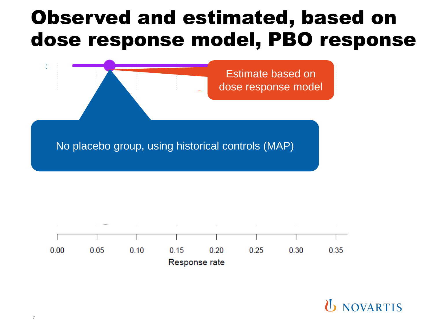#### Observed and estimated, based on dose response model, PBO response



No placebo group, using historical controls (MAP)

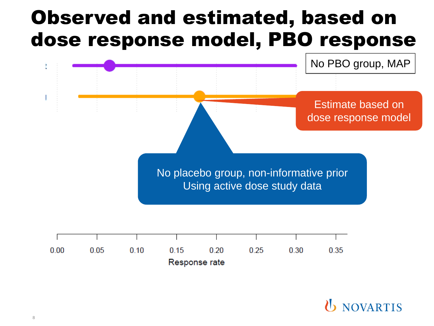#### Observed and estimated, based on dose response model, PBO response

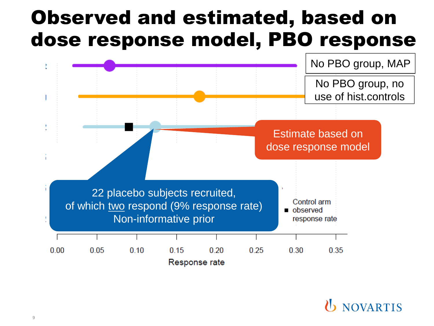#### Observed and estimated, based on dose response model, PBO response

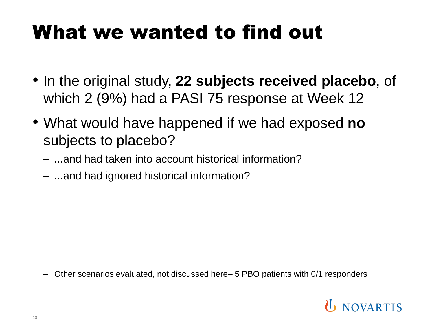## What we wanted to find out

- In the original study, **22 subjects received placebo**, of which 2 (9%) had a PASI 75 response at Week 12
- What would have happened if we had exposed **no** subjects to placebo?
	- ...and had taken into account historical information?
	- ...and had ignored historical information?

– Other scenarios evaluated, not discussed here– 5 PBO patients with 0/1 responders

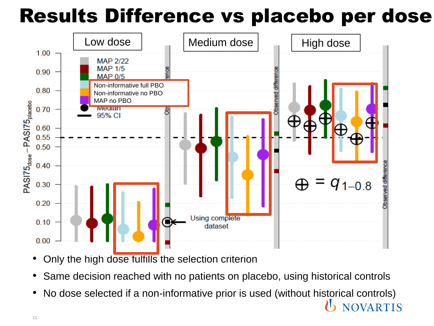# Results Difference vs placebo per dose



- Only the high dose fulfills the selection criterion
- Same decision reached with no patients on placebo, using historical controls
- No dose selected if a non-informative prior is used (without historical controls) **OVARTIS**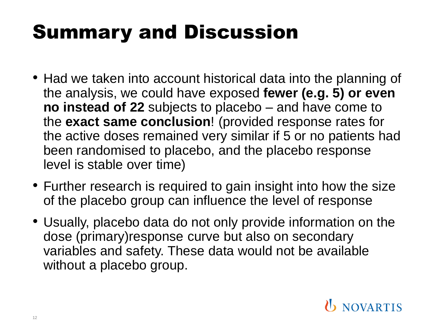# Summary and Discussion

- Had we taken into account historical data into the planning of the analysis, we could have exposed **fewer (e.g. 5) or even no instead of 22** subjects to placebo – and have come to the **exact same conclusion**! (provided response rates for the active doses remained very similar if 5 or no patients had been randomised to placebo, and the placebo response level is stable over time)
- Further research is required to gain insight into how the size of the placebo group can influence the level of response
- Usually, placebo data do not only provide information on the dose (primary)response curve but also on secondary variables and safety. These data would not be available without a placebo group.

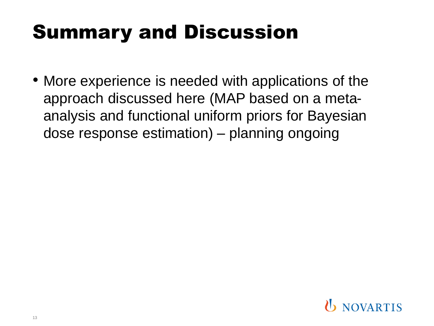## Summary and Discussion

• More experience is needed with applications of the approach discussed here (MAP based on a metaanalysis and functional uniform priors for Bayesian dose response estimation) – planning ongoing